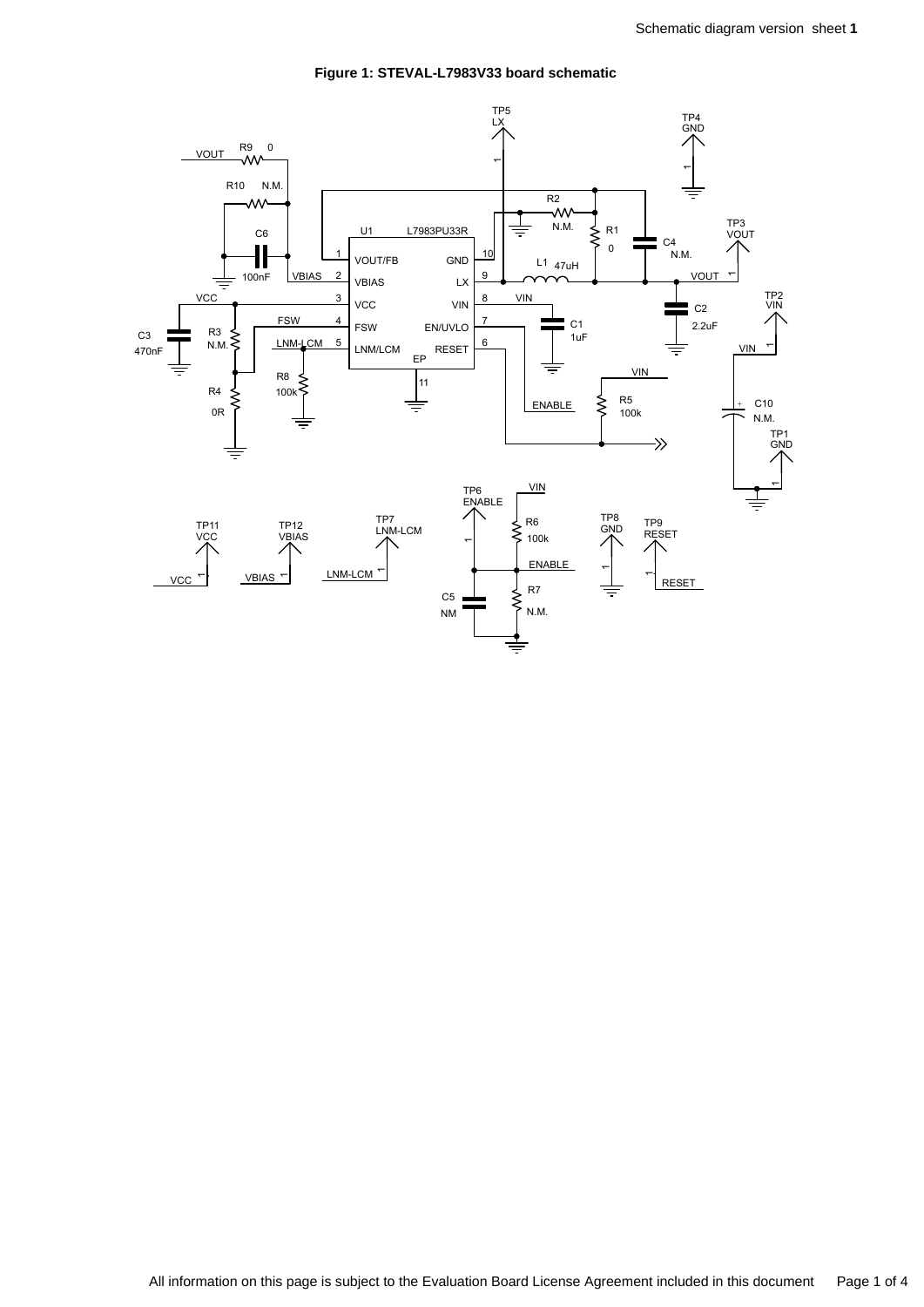

# **Figure 1: STEVAL-L7983V33 board schematic**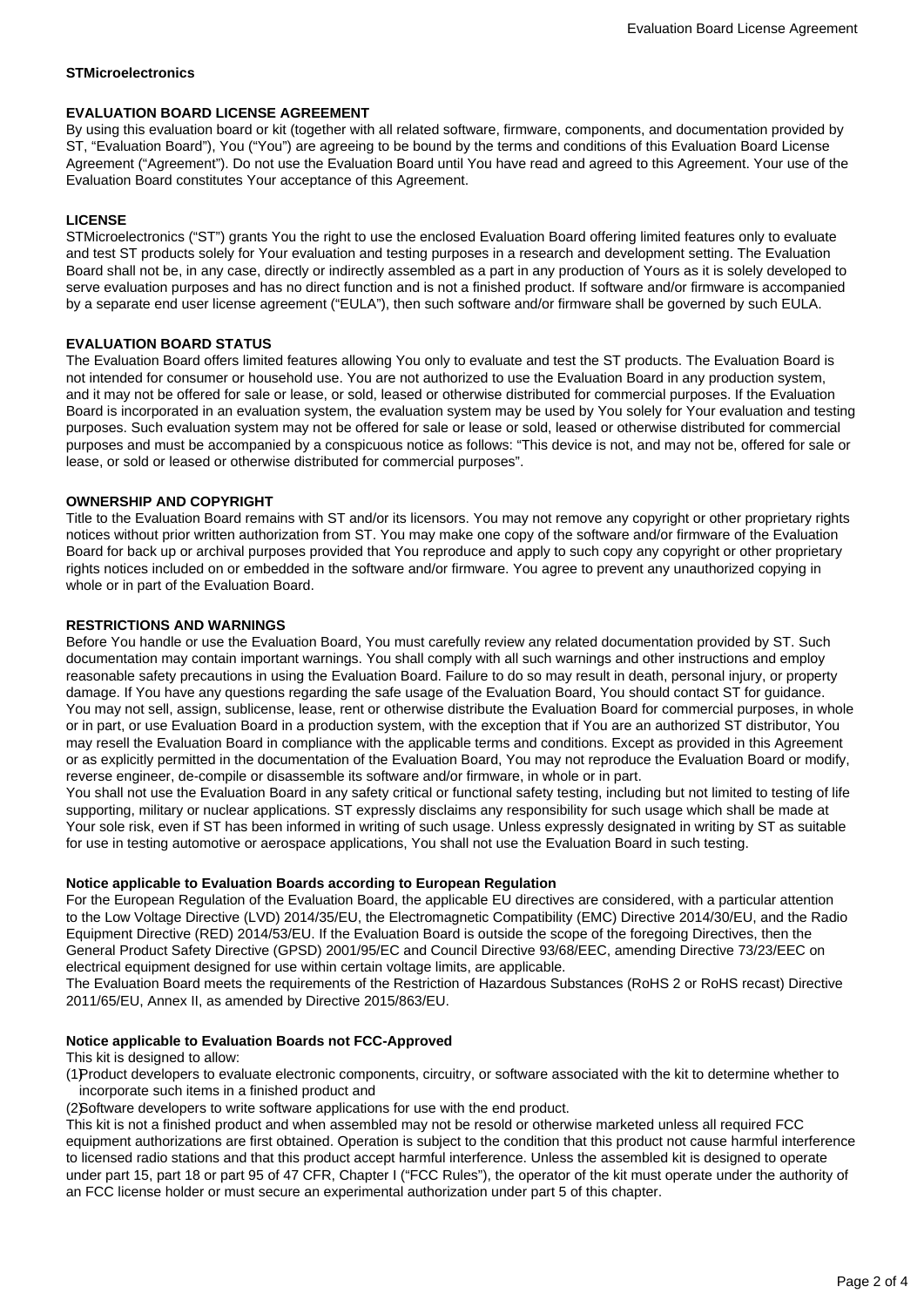# **STMicroelectronics**

# **EVALUATION BOARD LICENSE AGREEMENT**

By using this evaluation board or kit (together with all related software, firmware, components, and documentation provided by ST, "Evaluation Board"), You ("You") are agreeing to be bound by the terms and conditions of this Evaluation Board License Agreement ("Agreement"). Do not use the Evaluation Board until You have read and agreed to this Agreement. Your use of the Evaluation Board constitutes Your acceptance of this Agreement.

# **LICENSE**

STMicroelectronics ("ST") grants You the right to use the enclosed Evaluation Board offering limited features only to evaluate and test ST products solely for Your evaluation and testing purposes in a research and development setting. The Evaluation Board shall not be, in any case, directly or indirectly assembled as a part in any production of Yours as it is solely developed to serve evaluation purposes and has no direct function and is not a finished product. If software and/or firmware is accompanied by a separate end user license agreement ("EULA"), then such software and/or firmware shall be governed by such EULA.

# **EVALUATION BOARD STATUS**

The Evaluation Board offers limited features allowing You only to evaluate and test the ST products. The Evaluation Board is not intended for consumer or household use. You are not authorized to use the Evaluation Board in any production system, and it may not be offered for sale or lease, or sold, leased or otherwise distributed for commercial purposes. If the Evaluation Board is incorporated in an evaluation system, the evaluation system may be used by You solely for Your evaluation and testing purposes. Such evaluation system may not be offered for sale or lease or sold, leased or otherwise distributed for commercial purposes and must be accompanied by a conspicuous notice as follows: "This device is not, and may not be, offered for sale or lease, or sold or leased or otherwise distributed for commercial purposes".

# **OWNERSHIP AND COPYRIGHT**

Title to the Evaluation Board remains with ST and/or its licensors. You may not remove any copyright or other proprietary rights notices without prior written authorization from ST. You may make one copy of the software and/or firmware of the Evaluation Board for back up or archival purposes provided that You reproduce and apply to such copy any copyright or other proprietary rights notices included on or embedded in the software and/or firmware. You agree to prevent any unauthorized copying in whole or in part of the Evaluation Board.

# **RESTRICTIONS AND WARNINGS**

Before You handle or use the Evaluation Board, You must carefully review any related documentation provided by ST. Such documentation may contain important warnings. You shall comply with all such warnings and other instructions and employ reasonable safety precautions in using the Evaluation Board. Failure to do so may result in death, personal injury, or property damage. If You have any questions regarding the safe usage of the Evaluation Board, You should contact ST for guidance. You may not sell, assign, sublicense, lease, rent or otherwise distribute the Evaluation Board for commercial purposes, in whole or in part, or use Evaluation Board in a production system, with the exception that if You are an authorized ST distributor, You may resell the Evaluation Board in compliance with the applicable terms and conditions. Except as provided in this Agreement or as explicitly permitted in the documentation of the Evaluation Board, You may not reproduce the Evaluation Board or modify, reverse engineer, de-compile or disassemble its software and/or firmware, in whole or in part.

You shall not use the Evaluation Board in any safety critical or functional safety testing, including but not limited to testing of life supporting, military or nuclear applications. ST expressly disclaims any responsibility for such usage which shall be made at Your sole risk, even if ST has been informed in writing of such usage. Unless expressly designated in writing by ST as suitable for use in testing automotive or aerospace applications, You shall not use the Evaluation Board in such testing.

# **Notice applicable to Evaluation Boards according to European Regulation**

For the European Regulation of the Evaluation Board, the applicable EU directives are considered, with a particular attention to the Low Voltage Directive (LVD) 2014/35/EU, the Electromagnetic Compatibility (EMC) Directive 2014/30/EU, and the Radio Equipment Directive (RED) 2014/53/EU. If the Evaluation Board is outside the scope of the foregoing Directives, then the General Product Safety Directive (GPSD) 2001/95/EC and Council Directive 93/68/EEC, amending Directive 73/23/EEC on electrical equipment designed for use within certain voltage limits, are applicable.

The Evaluation Board meets the requirements of the Restriction of Hazardous Substances (RoHS 2 or RoHS recast) Directive 2011/65/EU, Annex II, as amended by Directive 2015/863/EU.

# **Notice applicable to Evaluation Boards not FCC-Approved**

This kit is designed to allow:

(1)Product developers to evaluate electronic components, circuitry, or software associated with the kit to determine whether to incorporate such items in a finished product and

(2)Software developers to write software applications for use with the end product.

This kit is not a finished product and when assembled may not be resold or otherwise marketed unless all required FCC equipment authorizations are first obtained. Operation is subject to the condition that this product not cause harmful interference to licensed radio stations and that this product accept harmful interference. Unless the assembled kit is designed to operate under part 15, part 18 or part 95 of 47 CFR, Chapter I ("FCC Rules"), the operator of the kit must operate under the authority of an FCC license holder or must secure an experimental authorization under part 5 of this chapter.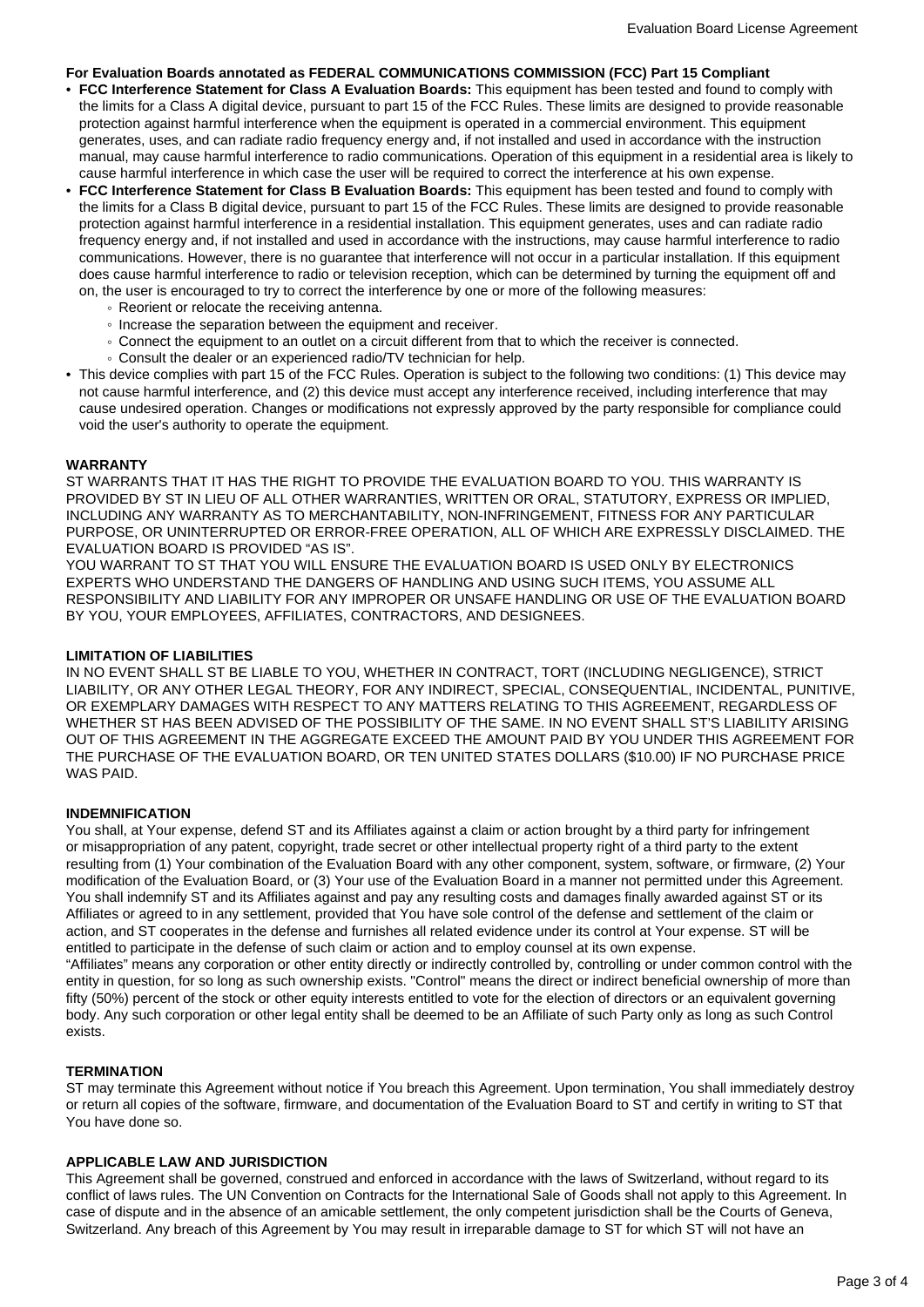### **For Evaluation Boards annotated as FEDERAL COMMUNICATIONS COMMISSION (FCC) Part 15 Compliant**

- **FCC Interference Statement for Class A Evaluation Boards:** This equipment has been tested and found to comply with the limits for a Class A digital device, pursuant to part 15 of the FCC Rules. These limits are designed to provide reasonable protection against harmful interference when the equipment is operated in a commercial environment. This equipment generates, uses, and can radiate radio frequency energy and, if not installed and used in accordance with the instruction manual, may cause harmful interference to radio communications. Operation of this equipment in a residential area is likely to cause harmful interference in which case the user will be required to correct the interference at his own expense.
- **FCC Interference Statement for Class B Evaluation Boards:** This equipment has been tested and found to comply with the limits for a Class B digital device, pursuant to part 15 of the FCC Rules. These limits are designed to provide reasonable protection against harmful interference in a residential installation. This equipment generates, uses and can radiate radio frequency energy and, if not installed and used in accordance with the instructions, may cause harmful interference to radio communications. However, there is no guarantee that interference will not occur in a particular installation. If this equipment does cause harmful interference to radio or television reception, which can be determined by turning the equipment off and on, the user is encouraged to try to correct the interference by one or more of the following measures:
	- Reorient or relocate the receiving antenna.
	- Increase the separation between the equipment and receiver.
	- Connect the equipment to an outlet on a circuit different from that to which the receiver is connected.
	- Consult the dealer or an experienced radio/TV technician for help.
- This device complies with part 15 of the FCC Rules. Operation is subject to the following two conditions: (1) This device may not cause harmful interference, and (2) this device must accept any interference received, including interference that may cause undesired operation. Changes or modifications not expressly approved by the party responsible for compliance could void the user's authority to operate the equipment.

#### **WARRANTY**

ST WARRANTS THAT IT HAS THE RIGHT TO PROVIDE THE EVALUATION BOARD TO YOU. THIS WARRANTY IS PROVIDED BY ST IN LIEU OF ALL OTHER WARRANTIES, WRITTEN OR ORAL, STATUTORY, EXPRESS OR IMPLIED, INCLUDING ANY WARRANTY AS TO MERCHANTABILITY, NON-INFRINGEMENT, FITNESS FOR ANY PARTICULAR PURPOSE, OR UNINTERRUPTED OR ERROR-FREE OPERATION, ALL OF WHICH ARE EXPRESSLY DISCLAIMED. THE EVALUATION BOARD IS PROVIDED "AS IS".

YOU WARRANT TO ST THAT YOU WILL ENSURE THE EVALUATION BOARD IS USED ONLY BY ELECTRONICS EXPERTS WHO UNDERSTAND THE DANGERS OF HANDLING AND USING SUCH ITEMS, YOU ASSUME ALL RESPONSIBILITY AND LIABILITY FOR ANY IMPROPER OR UNSAFE HANDLING OR USE OF THE EVALUATION BOARD BY YOU, YOUR EMPLOYEES, AFFILIATES, CONTRACTORS, AND DESIGNEES.

#### **LIMITATION OF LIABILITIES**

IN NO EVENT SHALL ST BE LIABLE TO YOU, WHETHER IN CONTRACT, TORT (INCLUDING NEGLIGENCE), STRICT LIABILITY, OR ANY OTHER LEGAL THEORY, FOR ANY INDIRECT, SPECIAL, CONSEQUENTIAL, INCIDENTAL, PUNITIVE, OR EXEMPLARY DAMAGES WITH RESPECT TO ANY MATTERS RELATING TO THIS AGREEMENT, REGARDLESS OF WHETHER ST HAS BEEN ADVISED OF THE POSSIBILITY OF THE SAME. IN NO EVENT SHALL ST'S LIABILITY ARISING OUT OF THIS AGREEMENT IN THE AGGREGATE EXCEED THE AMOUNT PAID BY YOU UNDER THIS AGREEMENT FOR THE PURCHASE OF THE EVALUATION BOARD, OR TEN UNITED STATES DOLLARS (\$10.00) IF NO PURCHASE PRICE WAS PAID.

#### **INDEMNIFICATION**

You shall, at Your expense, defend ST and its Affiliates against a claim or action brought by a third party for infringement or misappropriation of any patent, copyright, trade secret or other intellectual property right of a third party to the extent resulting from (1) Your combination of the Evaluation Board with any other component, system, software, or firmware, (2) Your modification of the Evaluation Board, or (3) Your use of the Evaluation Board in a manner not permitted under this Agreement. You shall indemnify ST and its Affiliates against and pay any resulting costs and damages finally awarded against ST or its Affiliates or agreed to in any settlement, provided that You have sole control of the defense and settlement of the claim or action, and ST cooperates in the defense and furnishes all related evidence under its control at Your expense. ST will be entitled to participate in the defense of such claim or action and to employ counsel at its own expense. "Affiliates" means any corporation or other entity directly or indirectly controlled by, controlling or under common control with the entity in question, for so long as such ownership exists. "Control" means the direct or indirect beneficial ownership of more than fifty (50%) percent of the stock or other equity interests entitled to vote for the election of directors or an equivalent governing body. Any such corporation or other legal entity shall be deemed to be an Affiliate of such Party only as long as such Control

#### **TERMINATION**

exists.

ST may terminate this Agreement without notice if You breach this Agreement. Upon termination, You shall immediately destroy or return all copies of the software, firmware, and documentation of the Evaluation Board to ST and certify in writing to ST that You have done so.

### **APPLICABLE LAW AND JURISDICTION**

This Agreement shall be governed, construed and enforced in accordance with the laws of Switzerland, without regard to its conflict of laws rules. The UN Convention on Contracts for the International Sale of Goods shall not apply to this Agreement. In case of dispute and in the absence of an amicable settlement, the only competent jurisdiction shall be the Courts of Geneva, Switzerland. Any breach of this Agreement by You may result in irreparable damage to ST for which ST will not have an